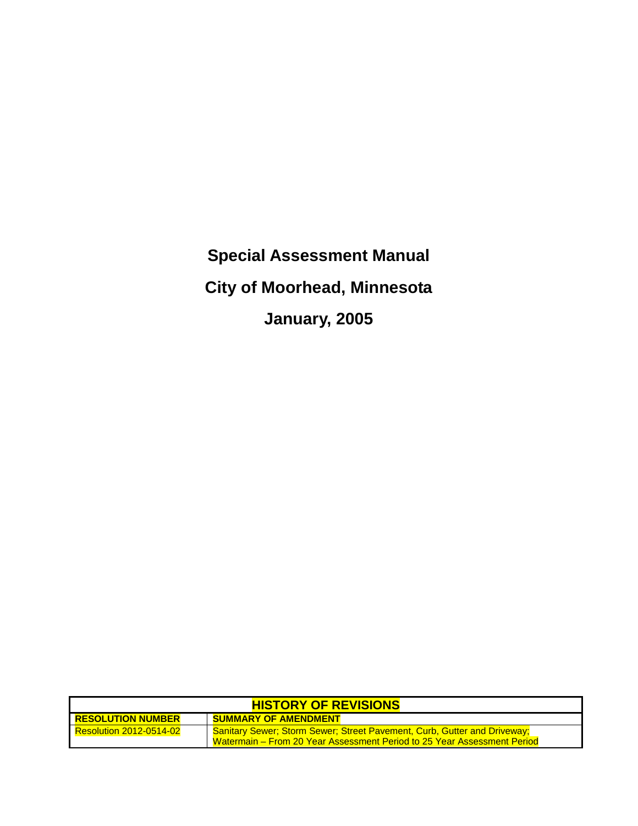**Special Assessment Manual City of Moorhead, Minnesota January, 2005**

| <b>HISTORY OF REVISIONS</b>    |                                                                                                                                                            |  |  |  |
|--------------------------------|------------------------------------------------------------------------------------------------------------------------------------------------------------|--|--|--|
| <b>RESOLUTION NUMBER</b>       | <b>SUMMARY OF AMENDMENT</b>                                                                                                                                |  |  |  |
| <b>Resolution 2012-0514-02</b> | <b>Sanitary Sewer; Storm Sewer; Street Pavement, Curb, Gutter and Driveway;</b><br>Watermain – From 20 Year Assessment Period to 25 Year Assessment Period |  |  |  |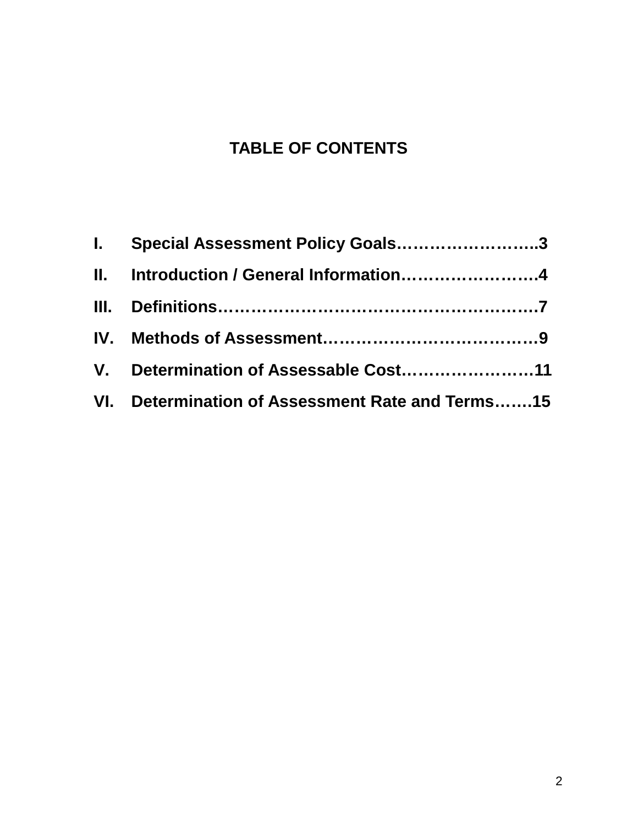# **TABLE OF CONTENTS**

| I. Special Assessment Policy Goals3              |
|--------------------------------------------------|
| II. Introduction / General Information4          |
|                                                  |
|                                                  |
| V. Determination of Assessable Cost11            |
| VI. Determination of Assessment Rate and Terms15 |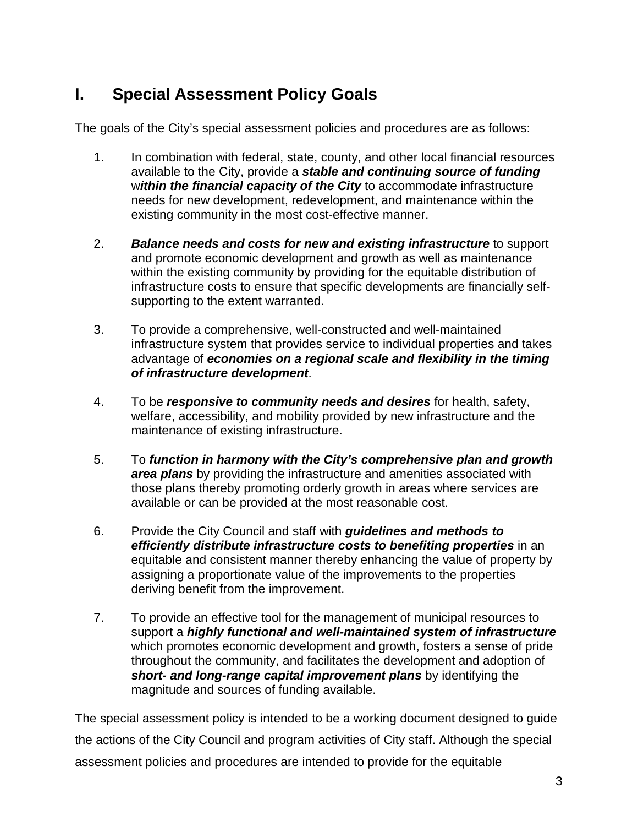## **I. Special Assessment Policy Goals**

The goals of the City's special assessment policies and procedures are as follows:

- 1. In combination with federal, state, county, and other local financial resources available to the City, provide a *stable and continuing source of funding* w*ithin the financial capacity of the City* to accommodate infrastructure needs for new development, redevelopment, and maintenance within the existing community in the most cost-effective manner.
- 2. *Balance needs and costs for new and existing infrastructure* to support and promote economic development and growth as well as maintenance within the existing community by providing for the equitable distribution of infrastructure costs to ensure that specific developments are financially selfsupporting to the extent warranted.
- 3. To provide a comprehensive, well-constructed and well-maintained infrastructure system that provides service to individual properties and takes advantage of *economies on a regional scale and flexibility in the timing of infrastructure development*.
- 4. To be *responsive to community needs and desires* for health, safety, welfare, accessibility, and mobility provided by new infrastructure and the maintenance of existing infrastructure.
- 5. To *function in harmony with the City's comprehensive plan and growth area plans* by providing the infrastructure and amenities associated with those plans thereby promoting orderly growth in areas where services are available or can be provided at the most reasonable cost.
- 6. Provide the City Council and staff with *guidelines and methods to efficiently distribute infrastructure costs to benefiting properties* in an equitable and consistent manner thereby enhancing the value of property by assigning a proportionate value of the improvements to the properties deriving benefit from the improvement.
- 7. To provide an effective tool for the management of municipal resources to support a *highly functional and well-maintained system of infrastructure* which promotes economic development and growth, fosters a sense of pride throughout the community, and facilitates the development and adoption of *short- and long-range capital improvement plans* by identifying the magnitude and sources of funding available.

The special assessment policy is intended to be a working document designed to guide the actions of the City Council and program activities of City staff. Although the special assessment policies and procedures are intended to provide for the equitable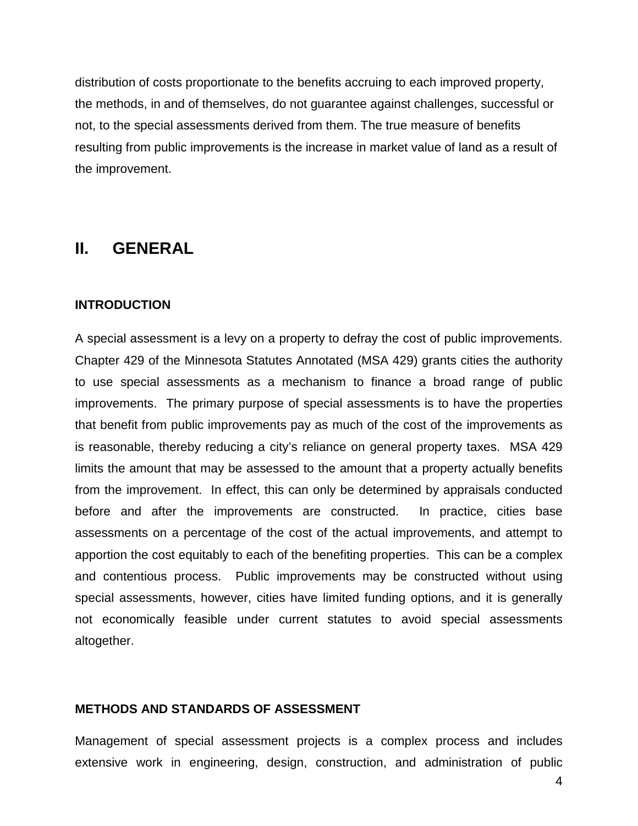distribution of costs proportionate to the benefits accruing to each improved property, the methods, in and of themselves, do not guarantee against challenges, successful or not, to the special assessments derived from them. The true measure of benefits resulting from public improvements is the increase in market value of land as a result of the improvement.

### **II. GENERAL**

#### **INTRODUCTION**

A special assessment is a levy on a property to defray the cost of public improvements. Chapter 429 of the Minnesota Statutes Annotated (MSA 429) grants cities the authority to use special assessments as a mechanism to finance a broad range of public improvements. The primary purpose of special assessments is to have the properties that benefit from public improvements pay as much of the cost of the improvements as is reasonable, thereby reducing a city's reliance on general property taxes. MSA 429 limits the amount that may be assessed to the amount that a property actually benefits from the improvement. In effect, this can only be determined by appraisals conducted before and after the improvements are constructed. In practice, cities base assessments on a percentage of the cost of the actual improvements, and attempt to apportion the cost equitably to each of the benefiting properties. This can be a complex and contentious process. Public improvements may be constructed without using special assessments, however, cities have limited funding options, and it is generally not economically feasible under current statutes to avoid special assessments altogether.

#### **METHODS AND STANDARDS OF ASSESSMENT**

Management of special assessment projects is a complex process and includes extensive work in engineering, design, construction, and administration of public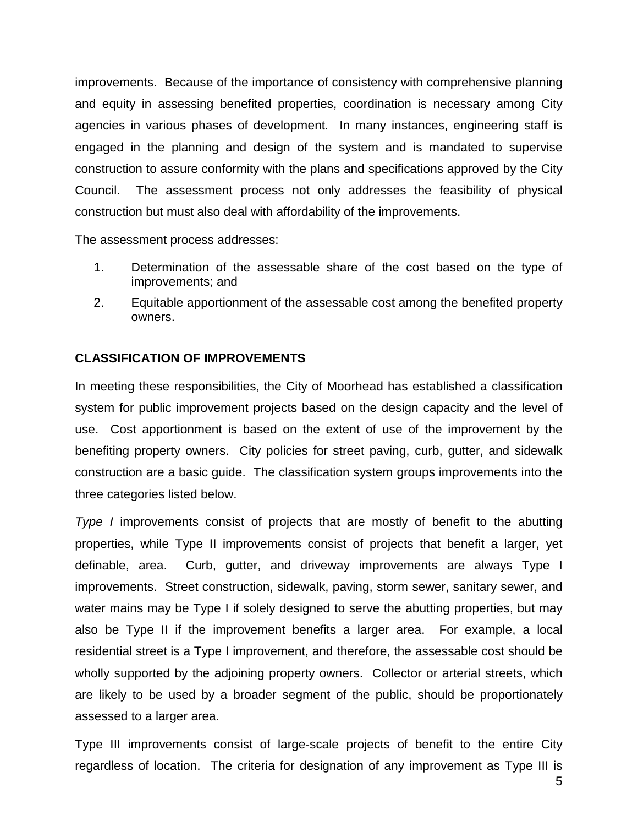improvements. Because of the importance of consistency with comprehensive planning and equity in assessing benefited properties, coordination is necessary among City agencies in various phases of development. In many instances, engineering staff is engaged in the planning and design of the system and is mandated to supervise construction to assure conformity with the plans and specifications approved by the City Council. The assessment process not only addresses the feasibility of physical construction but must also deal with affordability of the improvements.

The assessment process addresses:

- 1. Determination of the assessable share of the cost based on the type of improvements; and
- 2. Equitable apportionment of the assessable cost among the benefited property owners.

#### **CLASSIFICATION OF IMPROVEMENTS**

In meeting these responsibilities, the City of Moorhead has established a classification system for public improvement projects based on the design capacity and the level of use. Cost apportionment is based on the extent of use of the improvement by the benefiting property owners. City policies for street paving, curb, gutter, and sidewalk construction are a basic guide. The classification system groups improvements into the three categories listed below.

*Type I* improvements consist of projects that are mostly of benefit to the abutting properties, while Type II improvements consist of projects that benefit a larger, yet definable, area. Curb, gutter, and driveway improvements are always Type I improvements. Street construction, sidewalk, paving, storm sewer, sanitary sewer, and water mains may be Type I if solely designed to serve the abutting properties, but may also be Type II if the improvement benefits a larger area. For example, a local residential street is a Type I improvement, and therefore, the assessable cost should be wholly supported by the adjoining property owners. Collector or arterial streets, which are likely to be used by a broader segment of the public, should be proportionately assessed to a larger area.

Type III improvements consist of large-scale projects of benefit to the entire City regardless of location. The criteria for designation of any improvement as Type III is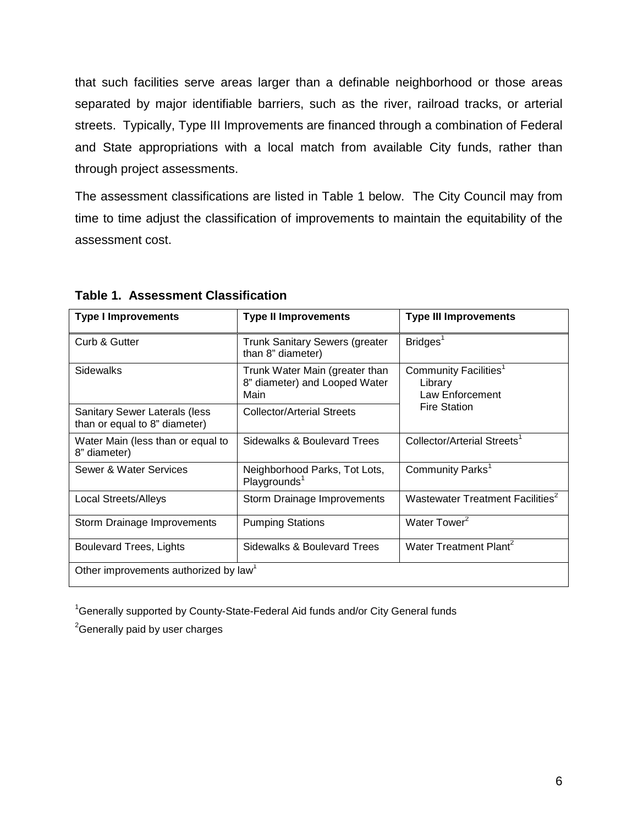that such facilities serve areas larger than a definable neighborhood or those areas separated by major identifiable barriers, such as the river, railroad tracks, or arterial streets. Typically, Type III Improvements are financed through a combination of Federal and State appropriations with a local match from available City funds, rather than through project assessments.

The assessment classifications are listed in Table 1 below. The City Council may from time to time adjust the classification of improvements to maintain the equitability of the assessment cost.

| <b>Type I Improvements</b>                                     | <b>Type II Improvements</b>                                             | <b>Type III Improvements</b>                                    |  |  |
|----------------------------------------------------------------|-------------------------------------------------------------------------|-----------------------------------------------------------------|--|--|
| Curb & Gutter                                                  | <b>Trunk Sanitary Sewers (greater</b><br>than 8" diameter)              | Bridges <sup>1</sup>                                            |  |  |
| <b>Sidewalks</b>                                               | Trunk Water Main (greater than<br>8" diameter) and Looped Water<br>Main | Community Facilities <sup>1</sup><br>Library<br>Law Enforcement |  |  |
| Sanitary Sewer Laterals (less<br>than or equal to 8" diameter) | <b>Collector/Arterial Streets</b>                                       | <b>Fire Station</b>                                             |  |  |
| Water Main (less than or equal to<br>8" diameter)              | Sidewalks & Boulevard Trees                                             | Collector/Arterial Streets <sup>1</sup>                         |  |  |
| Sewer & Water Services                                         | Neighborhood Parks, Tot Lots,<br>Playgrounds <sup>1</sup>               | Community Parks <sup>1</sup>                                    |  |  |
| <b>Local Streets/Alleys</b>                                    | Storm Drainage Improvements                                             | Wastewater Treatment Facilities <sup>2</sup>                    |  |  |
| Storm Drainage Improvements                                    | <b>Pumping Stations</b>                                                 | Water Tower <sup>2</sup>                                        |  |  |
| Boulevard Trees, Lights                                        | Sidewalks & Boulevard Trees                                             | Water Treatment Plant <sup>2</sup>                              |  |  |
| Other improvements authorized by law <sup>1</sup>              |                                                                         |                                                                 |  |  |

**Table 1. Assessment Classification**

<sup>1</sup>Generally supported by County-State-Federal Aid funds and/or City General funds

<sup>2</sup>Generally paid by user charges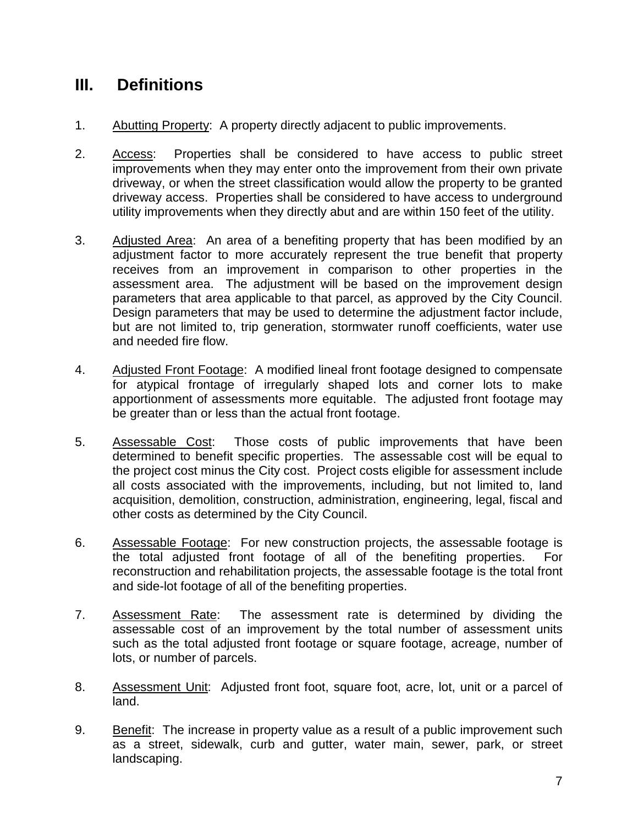### **III. Definitions**

- 1. Abutting Property: A property directly adjacent to public improvements.
- 2. Access: Properties shall be considered to have access to public street improvements when they may enter onto the improvement from their own private driveway, or when the street classification would allow the property to be granted driveway access. Properties shall be considered to have access to underground utility improvements when they directly abut and are within 150 feet of the utility.
- 3. Adjusted Area: An area of a benefiting property that has been modified by an adjustment factor to more accurately represent the true benefit that property receives from an improvement in comparison to other properties in the assessment area. The adjustment will be based on the improvement design parameters that area applicable to that parcel, as approved by the City Council. Design parameters that may be used to determine the adjustment factor include, but are not limited to, trip generation, stormwater runoff coefficients, water use and needed fire flow.
- 4. Adjusted Front Footage: A modified lineal front footage designed to compensate for atypical frontage of irregularly shaped lots and corner lots to make apportionment of assessments more equitable. The adjusted front footage may be greater than or less than the actual front footage.
- 5. Assessable Cost: Those costs of public improvements that have been determined to benefit specific properties. The assessable cost will be equal to the project cost minus the City cost. Project costs eligible for assessment include all costs associated with the improvements, including, but not limited to, land acquisition, demolition, construction, administration, engineering, legal, fiscal and other costs as determined by the City Council.
- 6. Assessable Footage: For new construction projects, the assessable footage is the total adjusted front footage of all of the benefiting properties. For reconstruction and rehabilitation projects, the assessable footage is the total front and side-lot footage of all of the benefiting properties.
- 7. Assessment Rate: The assessment rate is determined by dividing the assessable cost of an improvement by the total number of assessment units such as the total adjusted front footage or square footage, acreage, number of lots, or number of parcels.
- 8. Assessment Unit: Adjusted front foot, square foot, acre, lot, unit or a parcel of land.
- 9. Benefit: The increase in property value as a result of a public improvement such as a street, sidewalk, curb and gutter, water main, sewer, park, or street landscaping.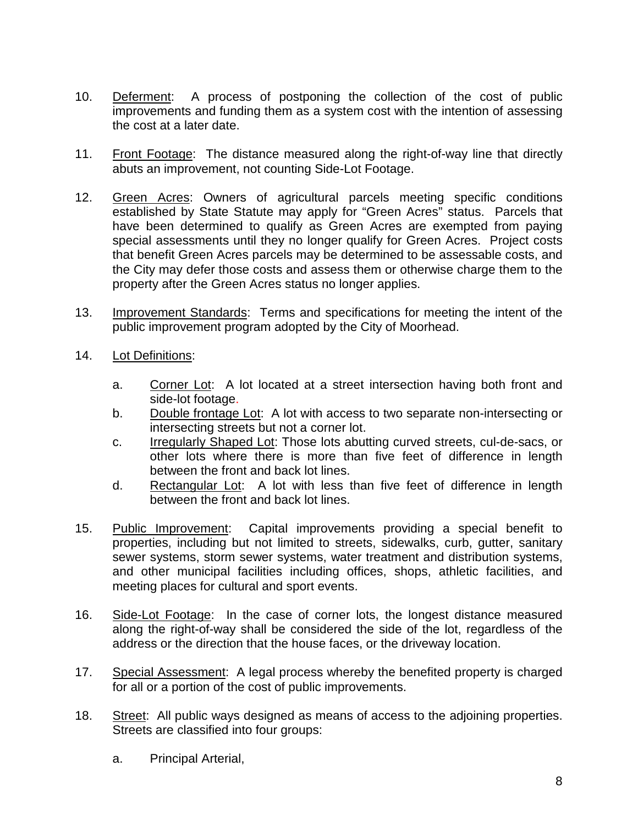- 10. Deferment: A process of postponing the collection of the cost of public improvements and funding them as a system cost with the intention of assessing the cost at a later date.
- 11. Front Footage: The distance measured along the right-of-way line that directly abuts an improvement, not counting Side-Lot Footage.
- 12. Green Acres: Owners of agricultural parcels meeting specific conditions established by State Statute may apply for "Green Acres" status. Parcels that have been determined to qualify as Green Acres are exempted from paying special assessments until they no longer qualify for Green Acres. Project costs that benefit Green Acres parcels may be determined to be assessable costs, and the City may defer those costs and assess them or otherwise charge them to the property after the Green Acres status no longer applies.
- 13. Improvement Standards: Terms and specifications for meeting the intent of the public improvement program adopted by the City of Moorhead.
- 14. Lot Definitions:
	- a. Corner Lot: A lot located at a street intersection having both front and side-lot footage.
	- b. Double frontage Lot: A lot with access to two separate non-intersecting or intersecting streets but not a corner lot.
	- c. Irregularly Shaped Lot: Those lots abutting curved streets, cul-de-sacs, or other lots where there is more than five feet of difference in length between the front and back lot lines.
	- d. Rectangular Lot: A lot with less than five feet of difference in length between the front and back lot lines.
- 15. Public Improvement: Capital improvements providing a special benefit to properties, including but not limited to streets, sidewalks, curb, gutter, sanitary sewer systems, storm sewer systems, water treatment and distribution systems, and other municipal facilities including offices, shops, athletic facilities, and meeting places for cultural and sport events.
- 16. Side-Lot Footage: In the case of corner lots, the longest distance measured along the right-of-way shall be considered the side of the lot, regardless of the address or the direction that the house faces, or the driveway location.
- 17. Special Assessment: A legal process whereby the benefited property is charged for all or a portion of the cost of public improvements.
- 18. Street: All public ways designed as means of access to the adjoining properties. Streets are classified into four groups:
	- a. Principal Arterial,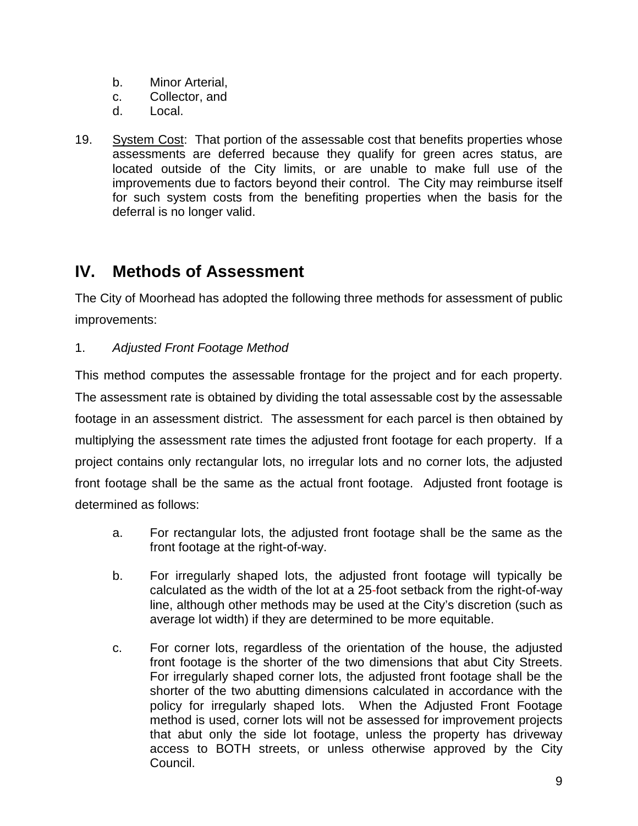- b. Minor Arterial,
- c. Collector, and
- d. Local.
- 19. System Cost: That portion of the assessable cost that benefits properties whose assessments are deferred because they qualify for green acres status, are located outside of the City limits, or are unable to make full use of the improvements due to factors beyond their control. The City may reimburse itself for such system costs from the benefiting properties when the basis for the deferral is no longer valid.

### **IV. Methods of Assessment**

The City of Moorhead has adopted the following three methods for assessment of public improvements:

#### 1. *Adjusted Front Footage Method*

This method computes the assessable frontage for the project and for each property. The assessment rate is obtained by dividing the total assessable cost by the assessable footage in an assessment district. The assessment for each parcel is then obtained by multiplying the assessment rate times the adjusted front footage for each property. If a project contains only rectangular lots, no irregular lots and no corner lots, the adjusted front footage shall be the same as the actual front footage. Adjusted front footage is determined as follows:

- a. For rectangular lots, the adjusted front footage shall be the same as the front footage at the right-of-way.
- b. For irregularly shaped lots, the adjusted front footage will typically be calculated as the width of the lot at a 25-foot setback from the right-of-way line, although other methods may be used at the City's discretion (such as average lot width) if they are determined to be more equitable.
- c. For corner lots, regardless of the orientation of the house, the adjusted front footage is the shorter of the two dimensions that abut City Streets. For irregularly shaped corner lots, the adjusted front footage shall be the shorter of the two abutting dimensions calculated in accordance with the policy for irregularly shaped lots. When the Adjusted Front Footage method is used, corner lots will not be assessed for improvement projects that abut only the side lot footage, unless the property has driveway access to BOTH streets, or unless otherwise approved by the City Council.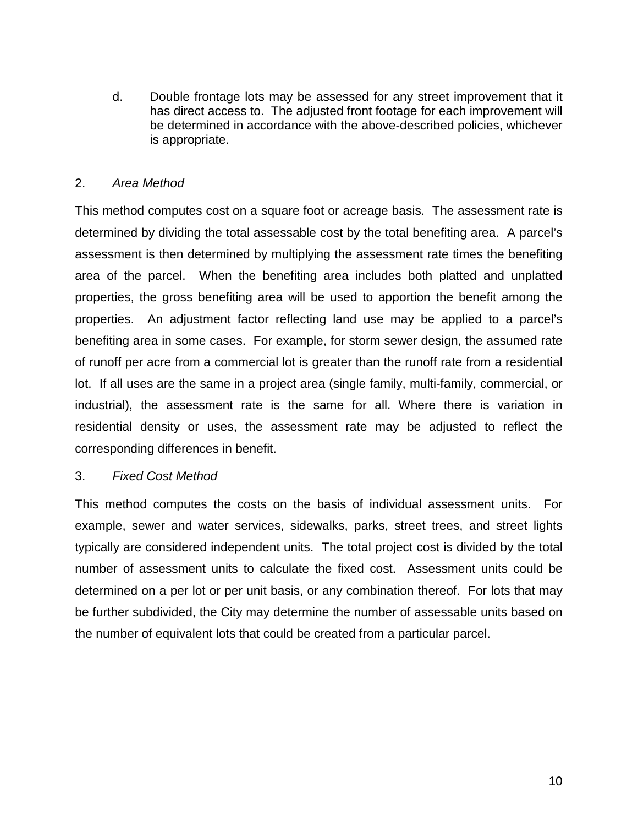d. Double frontage lots may be assessed for any street improvement that it has direct access to. The adjusted front footage for each improvement will be determined in accordance with the above-described policies, whichever is appropriate.

#### 2. *Area Method*

This method computes cost on a square foot or acreage basis. The assessment rate is determined by dividing the total assessable cost by the total benefiting area. A parcel's assessment is then determined by multiplying the assessment rate times the benefiting area of the parcel. When the benefiting area includes both platted and unplatted properties, the gross benefiting area will be used to apportion the benefit among the properties. An adjustment factor reflecting land use may be applied to a parcel's benefiting area in some cases. For example, for storm sewer design, the assumed rate of runoff per acre from a commercial lot is greater than the runoff rate from a residential lot. If all uses are the same in a project area (single family, multi-family, commercial, or industrial), the assessment rate is the same for all. Where there is variation in residential density or uses, the assessment rate may be adjusted to reflect the corresponding differences in benefit.

#### 3. *Fixed Cost Method*

This method computes the costs on the basis of individual assessment units. For example, sewer and water services, sidewalks, parks, street trees, and street lights typically are considered independent units. The total project cost is divided by the total number of assessment units to calculate the fixed cost. Assessment units could be determined on a per lot or per unit basis, or any combination thereof. For lots that may be further subdivided, the City may determine the number of assessable units based on the number of equivalent lots that could be created from a particular parcel.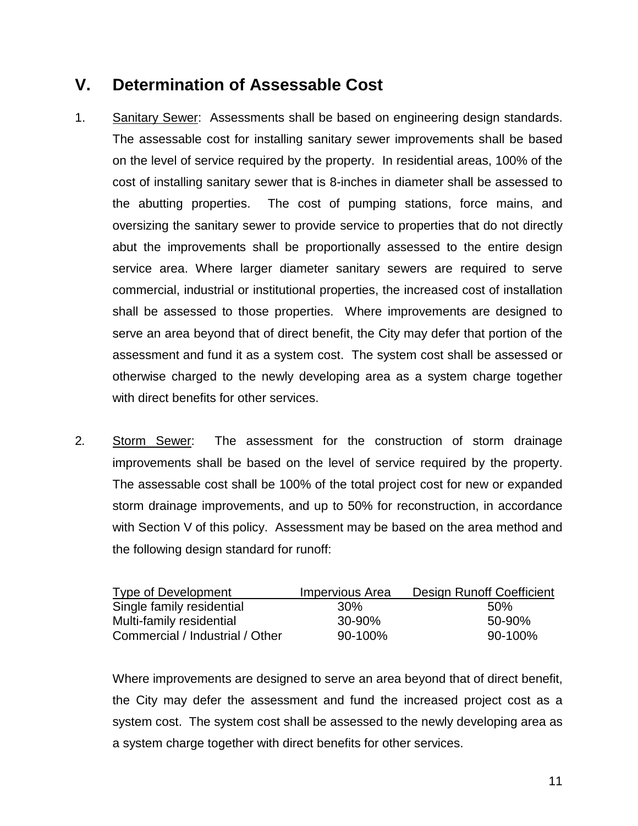### **V. Determination of Assessable Cost**

- 1. Sanitary Sewer: Assessments shall be based on engineering design standards. The assessable cost for installing sanitary sewer improvements shall be based on the level of service required by the property. In residential areas, 100% of the cost of installing sanitary sewer that is 8-inches in diameter shall be assessed to the abutting properties. The cost of pumping stations, force mains, and oversizing the sanitary sewer to provide service to properties that do not directly abut the improvements shall be proportionally assessed to the entire design service area. Where larger diameter sanitary sewers are required to serve commercial, industrial or institutional properties, the increased cost of installation shall be assessed to those properties. Where improvements are designed to serve an area beyond that of direct benefit, the City may defer that portion of the assessment and fund it as a system cost. The system cost shall be assessed or otherwise charged to the newly developing area as a system charge together with direct benefits for other services.
- 2*.* Storm Sewer: The assessment for the construction of storm drainage improvements shall be based on the level of service required by the property. The assessable cost shall be 100% of the total project cost for new or expanded storm drainage improvements, and up to 50% for reconstruction, in accordance with Section V of this policy. Assessment may be based on the area method and the following design standard for runoff:

| Type of Development             | Impervious Area | Design Runoff Coefficient |
|---------------------------------|-----------------|---------------------------|
| Single family residential       | .30%            | .50%                      |
| Multi-family residential        | 30-90%          | 50-90%                    |
| Commercial / Industrial / Other | $90-100\%$      | $90-100\%$                |

Where improvements are designed to serve an area beyond that of direct benefit, the City may defer the assessment and fund the increased project cost as a system cost. The system cost shall be assessed to the newly developing area as a system charge together with direct benefits for other services.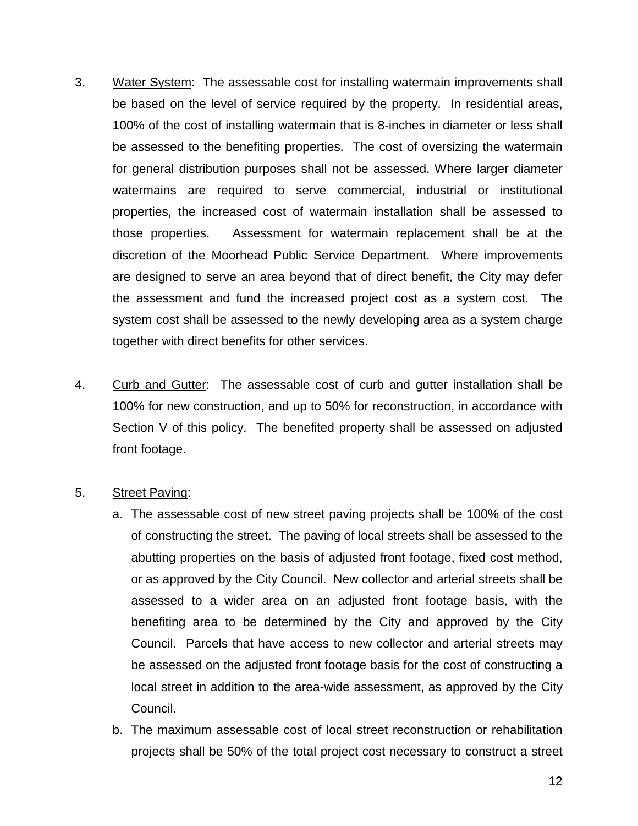- 3. Water System: The assessable cost for installing watermain improvements shall be based on the level of service required by the property. In residential areas, 100% of the cost of installing watermain that is 8-inches in diameter or less shall be assessed to the benefiting properties. The cost of oversizing the watermain for general distribution purposes shall not be assessed. Where larger diameter watermains are required to serve commercial, industrial or institutional properties, the increased cost of watermain installation shall be assessed to those properties. Assessment for watermain replacement shall be at the discretion of the Moorhead Public Service Department. Where improvements are designed to serve an area beyond that of direct benefit, the City may defer the assessment and fund the increased project cost as a system cost. The system cost shall be assessed to the newly developing area as a system charge together with direct benefits for other services.
- 4. Curb and Gutter: The assessable cost of curb and gutter installation shall be 100% for new construction, and up to 50% for reconstruction, in accordance with Section V of this policy. The benefited property shall be assessed on adjusted front footage.
- 5. Street Paving:
	- a. The assessable cost of new street paving projects shall be 100% of the cost of constructing the street. The paving of local streets shall be assessed to the abutting properties on the basis of adjusted front footage, fixed cost method, or as approved by the City Council. New collector and arterial streets shall be assessed to a wider area on an adjusted front footage basis, with the benefiting area to be determined by the City and approved by the City Council. Parcels that have access to new collector and arterial streets may be assessed on the adjusted front footage basis for the cost of constructing a local street in addition to the area-wide assessment, as approved by the City Council.
	- b. The maximum assessable cost of local street reconstruction or rehabilitation projects shall be 50% of the total project cost necessary to construct a street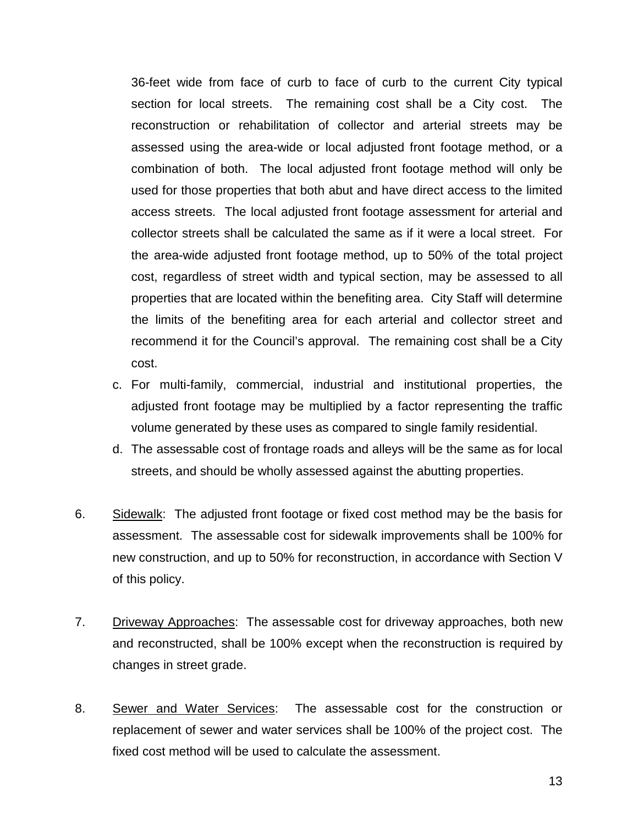36-feet wide from face of curb to face of curb to the current City typical section for local streets. The remaining cost shall be a City cost. The reconstruction or rehabilitation of collector and arterial streets may be assessed using the area-wide or local adjusted front footage method, or a combination of both. The local adjusted front footage method will only be used for those properties that both abut and have direct access to the limited access streets. The local adjusted front footage assessment for arterial and collector streets shall be calculated the same as if it were a local street. For the area-wide adjusted front footage method, up to 50% of the total project cost, regardless of street width and typical section, may be assessed to all properties that are located within the benefiting area. City Staff will determine the limits of the benefiting area for each arterial and collector street and recommend it for the Council's approval. The remaining cost shall be a City cost.

- c. For multi-family, commercial, industrial and institutional properties, the adjusted front footage may be multiplied by a factor representing the traffic volume generated by these uses as compared to single family residential.
- d. The assessable cost of frontage roads and alleys will be the same as for local streets, and should be wholly assessed against the abutting properties.
- 6. Sidewalk: The adjusted front footage or fixed cost method may be the basis for assessment. The assessable cost for sidewalk improvements shall be 100% for new construction, and up to 50% for reconstruction, in accordance with Section V of this policy.
- 7. Driveway Approaches: The assessable cost for driveway approaches, both new and reconstructed, shall be 100% except when the reconstruction is required by changes in street grade.
- 8. Sewer and Water Services: The assessable cost for the construction or replacement of sewer and water services shall be 100% of the project cost. The fixed cost method will be used to calculate the assessment.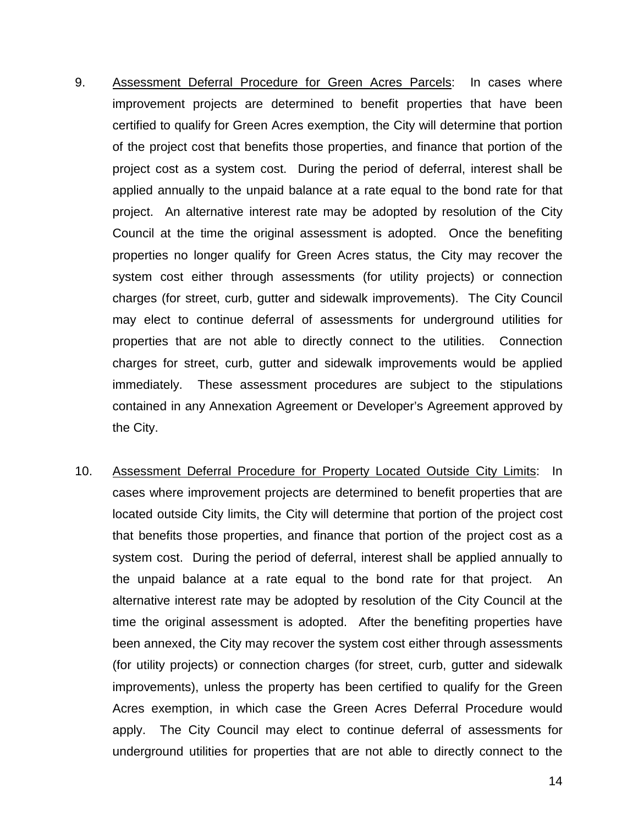- 9. Assessment Deferral Procedure for Green Acres Parcels: In cases where improvement projects are determined to benefit properties that have been certified to qualify for Green Acres exemption, the City will determine that portion of the project cost that benefits those properties, and finance that portion of the project cost as a system cost. During the period of deferral, interest shall be applied annually to the unpaid balance at a rate equal to the bond rate for that project. An alternative interest rate may be adopted by resolution of the City Council at the time the original assessment is adopted. Once the benefiting properties no longer qualify for Green Acres status, the City may recover the system cost either through assessments (for utility projects) or connection charges (for street, curb, gutter and sidewalk improvements). The City Council may elect to continue deferral of assessments for underground utilities for properties that are not able to directly connect to the utilities. Connection charges for street, curb, gutter and sidewalk improvements would be applied immediately. These assessment procedures are subject to the stipulations contained in any Annexation Agreement or Developer's Agreement approved by the City.
- 10. Assessment Deferral Procedure for Property Located Outside City Limits: In cases where improvement projects are determined to benefit properties that are located outside City limits, the City will determine that portion of the project cost that benefits those properties, and finance that portion of the project cost as a system cost. During the period of deferral, interest shall be applied annually to the unpaid balance at a rate equal to the bond rate for that project. An alternative interest rate may be adopted by resolution of the City Council at the time the original assessment is adopted. After the benefiting properties have been annexed, the City may recover the system cost either through assessments (for utility projects) or connection charges (for street, curb, gutter and sidewalk improvements), unless the property has been certified to qualify for the Green Acres exemption, in which case the Green Acres Deferral Procedure would apply. The City Council may elect to continue deferral of assessments for underground utilities for properties that are not able to directly connect to the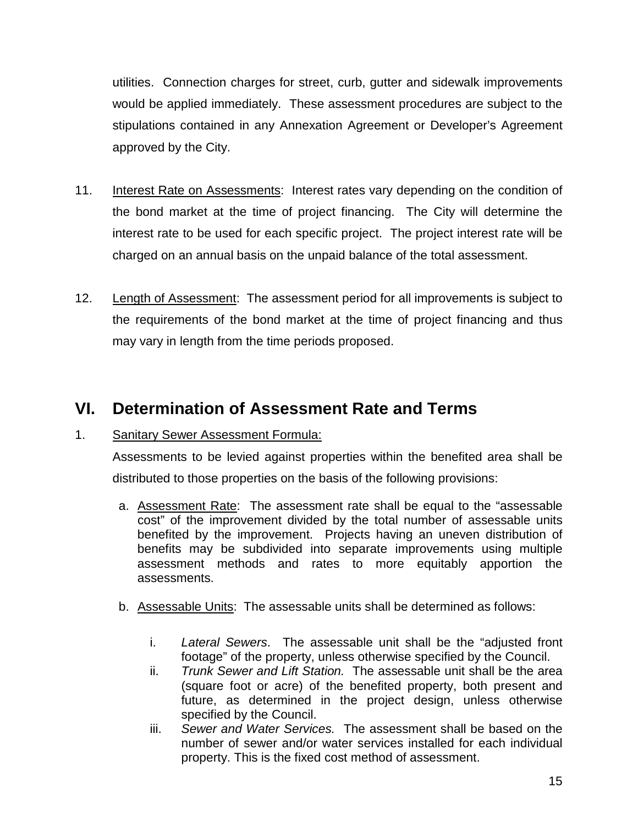utilities. Connection charges for street, curb, gutter and sidewalk improvements would be applied immediately. These assessment procedures are subject to the stipulations contained in any Annexation Agreement or Developer's Agreement approved by the City.

- 11. Interest Rate on Assessments: Interest rates vary depending on the condition of the bond market at the time of project financing. The City will determine the interest rate to be used for each specific project. The project interest rate will be charged on an annual basis on the unpaid balance of the total assessment.
- 12. Length of Assessment: The assessment period for all improvements is subject to the requirements of the bond market at the time of project financing and thus may vary in length from the time periods proposed.

### **VI. Determination of Assessment Rate and Terms**

#### 1. Sanitary Sewer Assessment Formula:

Assessments to be levied against properties within the benefited area shall be distributed to those properties on the basis of the following provisions:

- a. Assessment Rate: The assessment rate shall be equal to the "assessable cost" of the improvement divided by the total number of assessable units benefited by the improvement. Projects having an uneven distribution of benefits may be subdivided into separate improvements using multiple assessment methods and rates to more equitably apportion the assessments.
- b. Assessable Units: The assessable units shall be determined as follows:
	- i. *Lateral Sewers*. The assessable unit shall be the "adjusted front footage" of the property, unless otherwise specified by the Council.
	- ii. *Trunk Sewer and Lift Station.* The assessable unit shall be the area (square foot or acre) of the benefited property, both present and future, as determined in the project design, unless otherwise specified by the Council.
	- iii. *Sewer and Water Services.* The assessment shall be based on the number of sewer and/or water services installed for each individual property. This is the fixed cost method of assessment.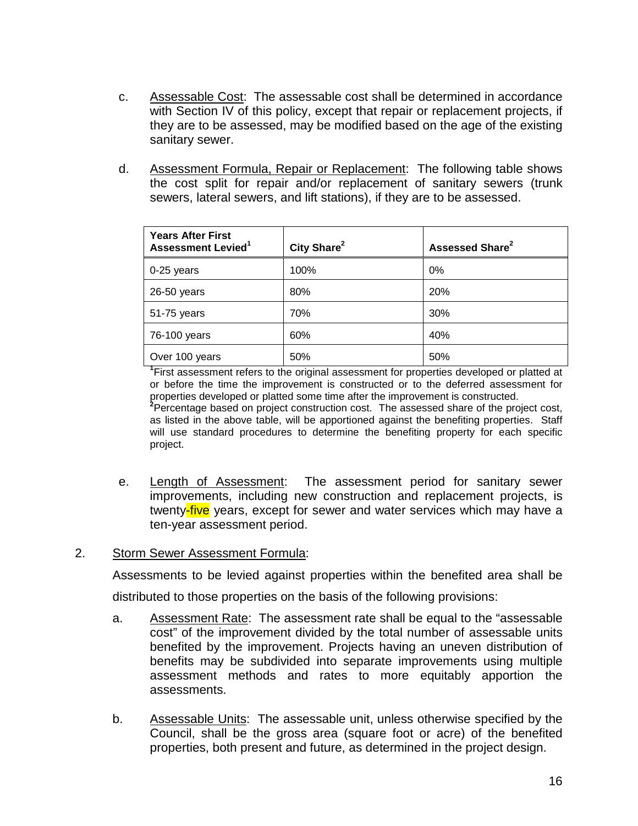- c. Assessable Cost: The assessable cost shall be determined in accordance with Section IV of this policy, except that repair or replacement projects, if they are to be assessed, may be modified based on the age of the existing sanitary sewer.
- d. Assessment Formula, Repair or Replacement: The following table shows the cost split for repair and/or replacement of sanitary sewers (trunk sewers, lateral sewers, and lift stations), if they are to be assessed.

| <b>Years After First</b><br><b>Assessment Levied</b> <sup>1</sup> | City Share <sup>2</sup> | Assessed Share <sup>2</sup> |
|-------------------------------------------------------------------|-------------------------|-----------------------------|
| 0-25 years                                                        | 100%                    | $0\%$                       |
| 26-50 years                                                       | 80%                     | 20%                         |
| 51-75 years                                                       | 70%                     | 30%                         |
| 76-100 years                                                      | 60%                     | 40%                         |
| Over 100 years                                                    | 50%                     | 50%                         |

<sup>1</sup>First assessment refers to the original assessment for properties developed or platted at or before the time the improvement is constructed or to the deferred assessment for properties developed or platted some time after the improvement is constructed. <sup>2</sup> Percentage based on project construction cost. The assessed share of the project cost, as listed in the above table, will be apportioned against the benefiting properties. Staff will use standard procedures to determine the benefiting property for each specific project.

e. Length of Assessment: The assessment period for sanitary sewer improvements, including new construction and replacement projects, is twenty-five years, except for sewer and water services which may have a ten-year assessment period.

#### 2. Storm Sewer Assessment Formula:

Assessments to be levied against properties within the benefited area shall be

distributed to those properties on the basis of the following provisions:

- a. Assessment Rate: The assessment rate shall be equal to the "assessable cost" of the improvement divided by the total number of assessable units benefited by the improvement. Projects having an uneven distribution of benefits may be subdivided into separate improvements using multiple assessment methods and rates to more equitably apportion the assessments.
- b. Assessable Units: The assessable unit, unless otherwise specified by the Council, shall be the gross area (square foot or acre) of the benefited properties, both present and future, as determined in the project design.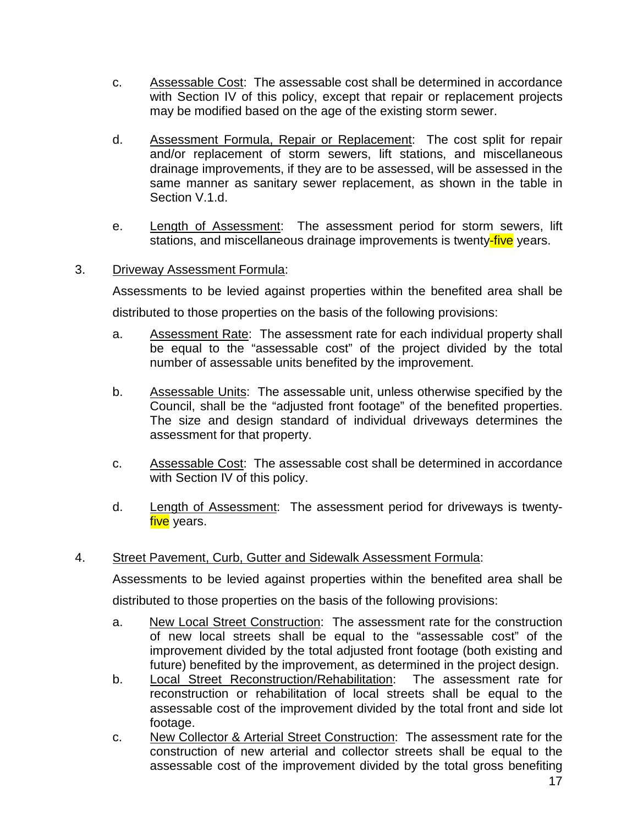- c. Assessable Cost: The assessable cost shall be determined in accordance with Section IV of this policy, except that repair or replacement projects may be modified based on the age of the existing storm sewer.
- d. Assessment Formula, Repair or Replacement: The cost split for repair and/or replacement of storm sewers, lift stations, and miscellaneous drainage improvements, if they are to be assessed, will be assessed in the same manner as sanitary sewer replacement, as shown in the table in Section V.1.d.
- e. Length of Assessment: The assessment period for storm sewers, lift stations, and miscellaneous drainage improvements is twenty-five years.

#### 3. Driveway Assessment Formula:

Assessments to be levied against properties within the benefited area shall be distributed to those properties on the basis of the following provisions:

- a. Assessment Rate: The assessment rate for each individual property shall be equal to the "assessable cost" of the project divided by the total number of assessable units benefited by the improvement.
- b. Assessable Units: The assessable unit, unless otherwise specified by the Council, shall be the "adjusted front footage" of the benefited properties. The size and design standard of individual driveways determines the assessment for that property.
- c. Assessable Cost: The assessable cost shall be determined in accordance with Section IV of this policy.
- d. Length of Assessment: The assessment period for driveways is twentyfive years.

#### 4. Street Pavement, Curb, Gutter and Sidewalk Assessment Formula:

Assessments to be levied against properties within the benefited area shall be distributed to those properties on the basis of the following provisions:

- a. New Local Street Construction: The assessment rate for the construction of new local streets shall be equal to the "assessable cost" of the improvement divided by the total adjusted front footage (both existing and future) benefited by the improvement, as determined in the project design.
- b. Local Street Reconstruction/Rehabilitation: The assessment rate for reconstruction or rehabilitation of local streets shall be equal to the assessable cost of the improvement divided by the total front and side lot footage.
- c. New Collector & Arterial Street Construction: The assessment rate for the construction of new arterial and collector streets shall be equal to the assessable cost of the improvement divided by the total gross benefiting